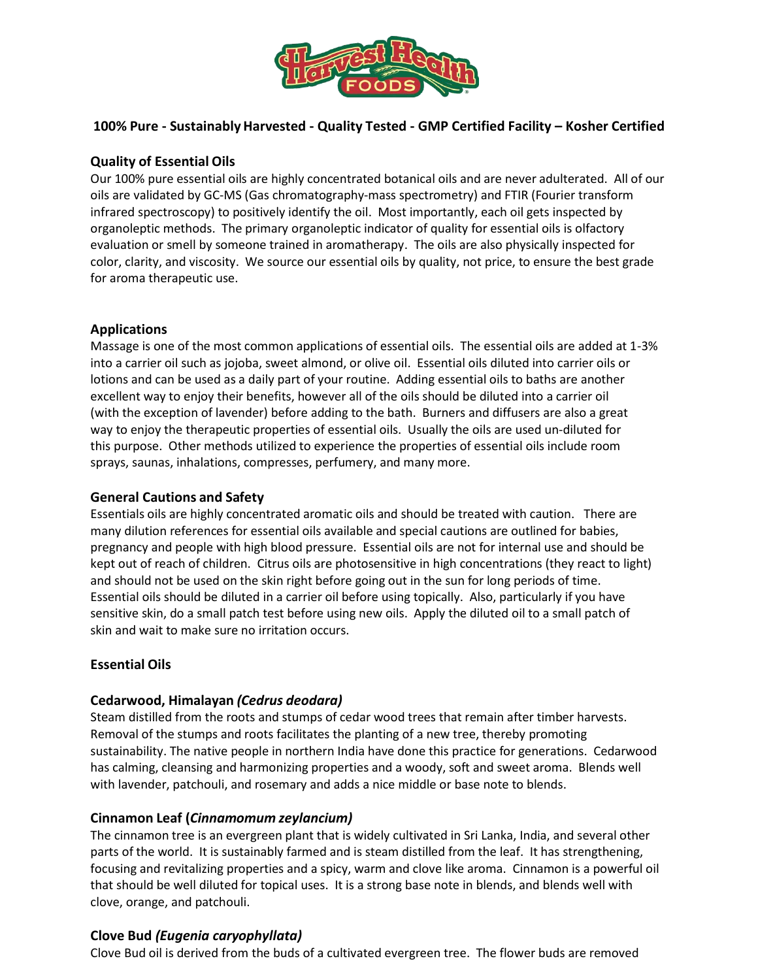

### **100% Pure - SustainablyHarvested - Quality Tested - GMP Certified Facility – Kosher Certified**

#### **Quality of Essential Oils**

Our 100% pure essential oils are highly concentrated botanical oils and are never adulterated. All of our oils are validated by GC-MS (Gas chromatography-mass spectrometry) and FTIR (Fourier transform infrared spectroscopy) to positively identify the oil. Most importantly, each oil gets inspected by organoleptic methods. The primary organoleptic indicator of quality for essential oils is olfactory evaluation or smell by someone trained in aromatherapy. The oils are also physically inspected for color, clarity, and viscosity. We source our essential oils by quality, not price, to ensure the best grade for aroma therapeutic use.

#### **Applications**

Massage is one of the most common applications of essential oils. The essential oils are added at 1-3% into a carrier oil such as jojoba, sweet almond, or olive oil. Essential oils diluted into carrier oils or lotions and can be used as a daily part of your routine. Adding essential oils to baths are another excellent way to enjoy their benefits, however all of the oils should be diluted into a carrier oil (with the exception of lavender) before adding to the bath. Burners and diffusers are also a great way to enjoy the therapeutic properties of essential oils. Usually the oils are used un-diluted for this purpose. Other methods utilized to experience the properties of essential oils include room sprays, saunas, inhalations, compresses, perfumery, and many more.

#### **General Cautions and Safety**

Essentials oils are highly concentrated aromatic oils and should be treated with caution. There are many dilution references for essential oils available and special cautions are outlined for babies, pregnancy and people with high blood pressure. Essential oils are not for internal use and should be kept out of reach of children. Citrus oils are photosensitive in high concentrations (they react to light) and should not be used on the skin right before going out in the sun for long periods of time. Essential oils should be diluted in a carrier oil before using topically. Also, particularly if you have sensitive skin, do a small patch test before using new oils. Apply the diluted oil to a small patch of skin and wait to make sure no irritation occurs.

#### **Essential Oils**

#### **Cedarwood, Himalayan** *(Cedrus deodara)*

Steam distilled from the roots and stumps of cedar wood trees that remain after timber harvests. Removal of the stumps and roots facilitates the planting of a new tree, thereby promoting sustainability. The native people in northern India have done this practice for generations. Cedarwood has calming, cleansing and harmonizing properties and a woody, soft and sweet aroma. Blends well with lavender, patchouli, and rosemary and adds a nice middle or base note to blends.

#### **Cinnamon Leaf (***Cinnamomum zeylancium)*

The cinnamon tree is an evergreen plant that is widely cultivated in Sri Lanka, India, and several other parts of the world. It is sustainably farmed and is steam distilled from the leaf. It has strengthening, focusing and revitalizing properties and a spicy, warm and clove like aroma. Cinnamon is a powerful oil that should be well diluted for topical uses. It is a strong base note in blends, and blends well with clove, orange, and patchouli.

#### **Clove Bud** *(Eugenia caryophyllata)*

Clove Bud oil is derived from the buds of a cultivated evergreen tree. The flower buds are removed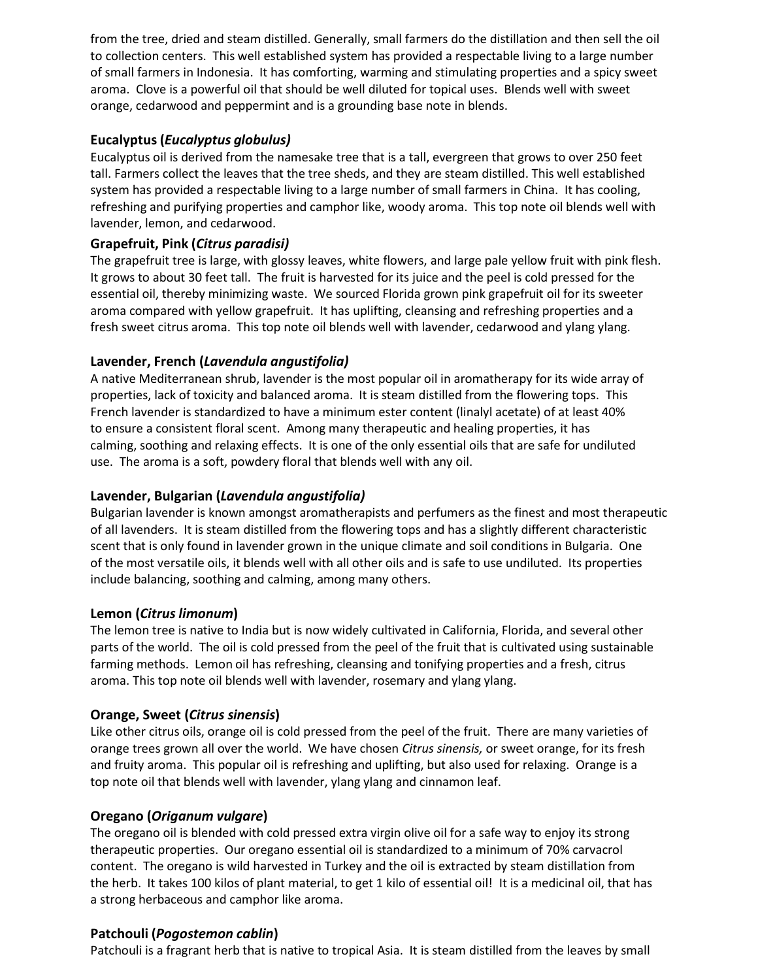from the tree, dried and steam distilled. Generally, small farmers do the distillation and then sell the oil to collection centers. This well established system has provided a respectable living to a large number of small farmers in Indonesia. It has comforting, warming and stimulating properties and a spicy sweet aroma. Clove is a powerful oil that should be well diluted for topical uses. Blends well with sweet orange, cedarwood and peppermint and is a grounding base note in blends.

## **Eucalyptus(***Eucalyptus globulus)*

Eucalyptus oil is derived from the namesake tree that is a tall, evergreen that grows to over 250 feet tall. Farmers collect the leaves that the tree sheds, and they are steam distilled. This well established system has provided a respectable living to a large number of small farmers in China. It has cooling, refreshing and purifying properties and camphor like, woody aroma. This top note oil blends well with lavender, lemon, and cedarwood.

### **Grapefruit, Pink (***Citrus paradisi)*

The grapefruit tree is large, with glossy leaves, white flowers, and large pale yellow fruit with pink flesh. It grows to about 30 feet tall. The fruit is harvested for its juice and the peel is cold pressed for the essential oil, thereby minimizing waste. We sourced Florida grown pink grapefruit oil for its sweeter aroma compared with yellow grapefruit. It has uplifting, cleansing and refreshing properties and a fresh sweet citrus aroma. This top note oil blends well with lavender, cedarwood and ylang ylang.

## **Lavender, French (***Lavendula angustifolia)*

A native Mediterranean shrub, lavender is the most popular oil in aromatherapy for its wide array of properties, lack of toxicity and balanced aroma. It is steam distilled from the flowering tops. This French lavender is standardized to have a minimum ester content (linalyl acetate) of at least 40% to ensure a consistent floral scent. Among many therapeutic and healing properties, it has calming, soothing and relaxing effects. It is one of the only essential oils that are safe for undiluted use. The aroma is a soft, powdery floral that blends well with any oil.

## **Lavender, Bulgarian (***Lavendula angustifolia)*

Bulgarian lavender is known amongst aromatherapists and perfumers as the finest and most therapeutic of all lavenders. It is steam distilled from the flowering tops and has a slightly different characteristic scent that is only found in lavender grown in the unique climate and soil conditions in Bulgaria. One of the most versatile oils, it blends well with all other oils and is safe to use undiluted. Its properties include balancing, soothing and calming, among many others.

#### **Lemon (***Citrus limonum***)**

The lemon tree is native to India but is now widely cultivated in California, Florida, and several other parts of the world. The oil is cold pressed from the peel of the fruit that is cultivated using sustainable farming methods. Lemon oil has refreshing, cleansing and tonifying properties and a fresh, citrus aroma. This top note oil blends well with lavender, rosemary and ylang ylang.

## **Orange, Sweet (***Citrus sinensis***)**

Like other citrus oils, orange oil is cold pressed from the peel of the fruit. There are many varieties of orange trees grown all over the world. We have chosen *Citrus sinensis,* or sweet orange, for its fresh and fruity aroma. This popular oil is refreshing and uplifting, but also used for relaxing. Orange is a top note oil that blends well with lavender, ylang ylang and cinnamon leaf.

#### **Oregano (***Origanum vulgare***)**

The oregano oil is blended with cold pressed extra virgin olive oil for a safe way to enjoy its strong therapeutic properties. Our oregano essential oil is standardized to a minimum of 70% carvacrol content. The oregano is wild harvested in Turkey and the oil is extracted by steam distillation from the herb. It takes 100 kilos of plant material, to get 1 kilo of essential oil! It is a medicinal oil, that has a strong herbaceous and camphor like aroma.

#### **Patchouli (***Pogostemon cablin***)**

Patchouli is a fragrant herb that is native to tropical Asia. It is steam distilled from the leaves by small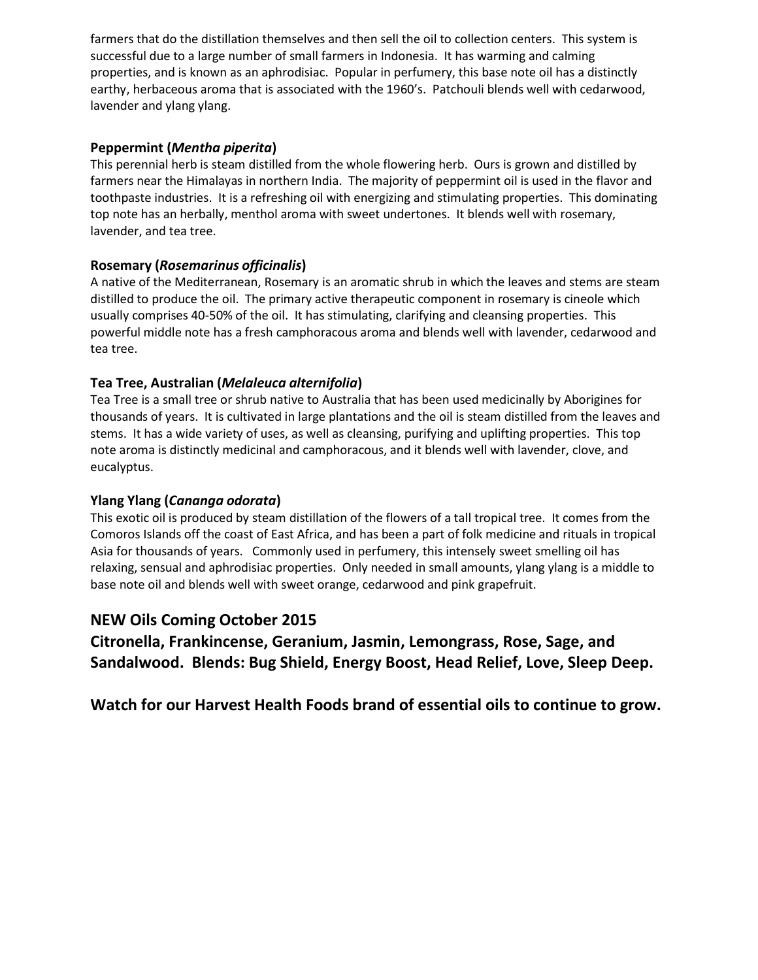farmers that do the distillation themselves and then sell the oil to collection centers. This system is successful due to a large number of small farmers in Indonesia. It has warming and calming properties, and is known as an aphrodisiac. Popular in perfumery, this base note oil has a distinctly earthy, herbaceous aroma that is associated with the 1960's. Patchouli blends well with cedarwood, lavender and ylang ylang.

### **Peppermint (***Mentha piperita***)**

This perennial herb is steam distilled from the whole flowering herb. Ours is grown and distilled by farmers near the Himalayas in northern India. The majority of peppermint oil is used in the flavor and toothpaste industries. It is a refreshing oil with energizing and stimulating properties. This dominating top note has an herbally, menthol aroma with sweet undertones. It blends well with rosemary, lavender, and tea tree.

## **Rosemary (***Rosemarinus officinalis***)**

A native of the Mediterranean, Rosemary is an aromatic shrub in which the leaves and stems are steam distilled to produce the oil. The primary active therapeutic component in rosemary is cineole which usually comprises 40-50% of the oil. It has stimulating, clarifying and cleansing properties. This powerful middle note has a fresh camphoracous aroma and blends well with lavender, cedarwood and tea tree.

## **Tea Tree, Australian (***Melaleuca alternifolia***)**

Tea Tree is a small tree or shrub native to Australia that has been used medicinally by Aborigines for thousands of years. It is cultivated in large plantations and the oil is steam distilled from the leaves and stems. It has a wide variety of uses, as well as cleansing, purifying and uplifting properties. This top note aroma is distinctly medicinal and camphoracous, and it blends well with lavender, clove, and eucalyptus.

## **Ylang Ylang (***Cananga odorata***)**

This exotic oil is produced by steam distillation of the flowers of a tall tropical tree. It comes from the Comoros Islands off the coast of East Africa, and has been a part of folk medicine and rituals in tropical Asia for thousands of years. Commonly used in perfumery, this intensely sweet smelling oil has relaxing, sensual and aphrodisiac properties. Only needed in small amounts, ylang ylang is a middle to base note oil and blends well with sweet orange, cedarwood and pink grapefruit.

# **NEW Oils Coming October 2015**

**Citronella, Frankincense, Geranium, Jasmin, Lemongrass, Rose, Sage, and Sandalwood. Blends: Bug Shield, Energy Boost, Head Relief, Love, Sleep Deep.**

**Watch for our Harvest Health Foods brand of essential oils to continue to grow.**